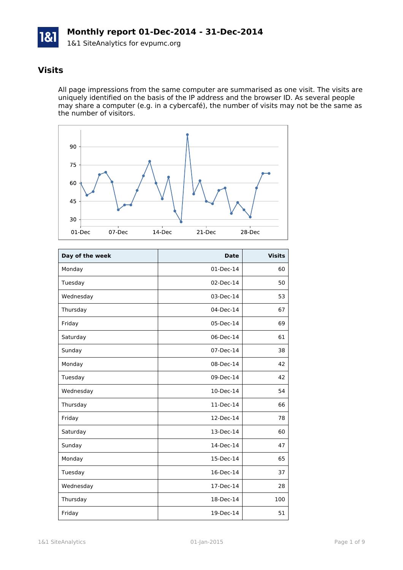

#### **Visits**

All page impressions from the same computer are summarised as one visit. The visits are uniquely identified on the basis of the IP address and the browser ID. As several people may share a computer (e.g. in a cybercafé), the number of visits may not be the same as the number of visitors.



| Day of the week | <b>Date</b> | <b>Visits</b> |
|-----------------|-------------|---------------|
| Monday          | 01-Dec-14   | 60            |
| Tuesday         | 02-Dec-14   | 50            |
| Wednesday       | 03-Dec-14   | 53            |
| Thursday        | 04-Dec-14   | 67            |
| Friday          | 05-Dec-14   | 69            |
| Saturday        | 06-Dec-14   | 61            |
| Sunday          | 07-Dec-14   | 38            |
| Monday          | 08-Dec-14   | 42            |
| Tuesday         | 09-Dec-14   | 42            |
| Wednesday       | 10-Dec-14   | 54            |
| Thursday        | 11-Dec-14   | 66            |
| Friday          | 12-Dec-14   | 78            |
| Saturday        | 13-Dec-14   | 60            |
| Sunday          | 14-Dec-14   | 47            |
| Monday          | 15-Dec-14   | 65            |
| Tuesday         | 16-Dec-14   | 37            |
| Wednesday       | 17-Dec-14   | 28            |
| Thursday        | 18-Dec-14   | 100           |
| Friday          | 19-Dec-14   | 51            |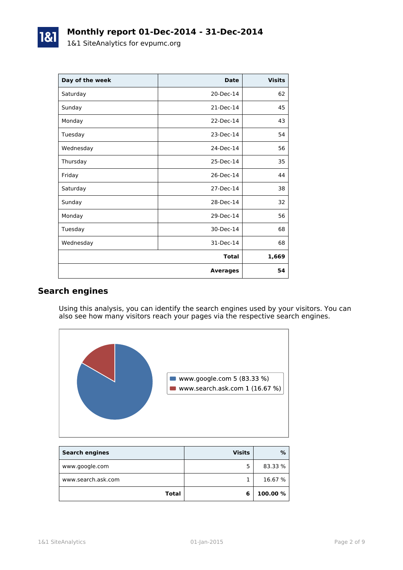| Day of the week | <b>Date</b>     | <b>Visits</b> |
|-----------------|-----------------|---------------|
| Saturday        | 20-Dec-14       | 62            |
| Sunday          | 21-Dec-14       | 45            |
| Monday          | 22-Dec-14       | 43            |
| Tuesday         | 23-Dec-14       | 54            |
| Wednesday       | 24-Dec-14       | 56            |
| Thursday        | 25-Dec-14       | 35            |
| Friday          | 26-Dec-14       | 44            |
| Saturday        | 27-Dec-14       | 38            |
| Sunday          | 28-Dec-14       | 32            |
| Monday          | 29-Dec-14       | 56            |
| Tuesday         | 30-Dec-14       | 68            |
| Wednesday       | 31-Dec-14       | 68            |
|                 | <b>Total</b>    | 1,669         |
|                 | <b>Averages</b> | 54            |

### **Search engines**

Using this analysis, you can identify the search engines used by your visitors. You can also see how many visitors reach your pages via the respective search engines.



| <b>Search engines</b> | <b>Visits</b> | %        |
|-----------------------|---------------|----------|
| www.google.com        |               | 83.33 %  |
| www.search.ask.com    |               | 16.67 %  |
| <b>Total</b>          | 6             | 100.00 % |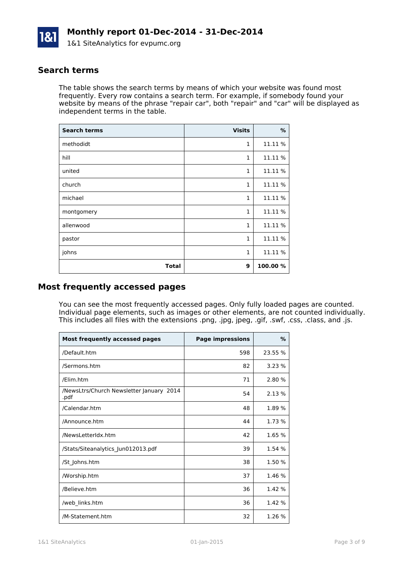

#### **Search terms**

The table shows the search terms by means of which your website was found most frequently. Every row contains a search term. For example, if somebody found your website by means of the phrase "repair car", both "repair" and "car" will be displayed as independent terms in the table.

| <b>Search terms</b> | <b>Visits</b> | $\%$     |
|---------------------|---------------|----------|
| methodidt           | $\mathbf{1}$  | 11.11 %  |
| hill                | $\mathbf{1}$  | 11.11 %  |
| united              | $\mathbf{1}$  | 11.11 %  |
| church              | $\mathbf{1}$  | 11.11 %  |
| michael             | $\mathbf{1}$  | 11.11 %  |
| montgomery          | $\mathbf{1}$  | 11.11 %  |
| allenwood           | $\mathbf{1}$  | 11.11 %  |
| pastor              | $\mathbf{1}$  | 11.11 %  |
| johns               | $\mathbf{1}$  | 11.11 %  |
| <b>Total</b>        | 9             | 100.00 % |

#### **Most frequently accessed pages**

You can see the most frequently accessed pages. Only fully loaded pages are counted. Individual page elements, such as images or other elements, are not counted individually. This includes all files with the extensions .png, .jpg, jpeg, .gif, .swf, .css, .class, and .js.

| <b>Most frequently accessed pages</b>            | <b>Page impressions</b> | $\frac{9}{6}$ |
|--------------------------------------------------|-------------------------|---------------|
| /Default.htm                                     | 598                     | 23.55 %       |
| /Sermons.htm                                     | 82                      | 3.23%         |
| /Elim.htm                                        | 71                      | 2.80 %        |
| /NewsLtrs/Church Newsletter January 2014<br>.pdf | 54                      | 2.13%         |
| /Calendar.htm                                    | 48                      | 1.89 %        |
| /Announce.htm                                    | 44                      | 1.73 %        |
| /NewsLetterIdx.htm                               | 42                      | 1.65 %        |
| /Stats/Siteanalytics Jun012013.pdf               | 39                      | 1.54 %        |
| /St Johns.htm                                    | 38                      | 1.50 %        |
| /Worship.htm                                     | 37                      | 1.46 %        |
| /Believe.htm                                     | 36                      | 1.42 %        |
| /web_links.htm                                   | 36                      | 1.42 %        |
| /M-Statement.htm                                 | 32                      | 1.26%         |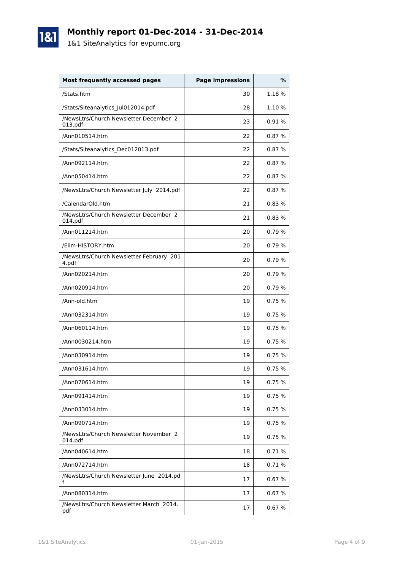## **Monthly report 01-Dec-2014 - 31-Dec-2014**

1&1 SiteAnalytics for evpumc.org

1&1

| <b>Most frequently accessed pages</b>             | <b>Page impressions</b> | %      |
|---------------------------------------------------|-------------------------|--------|
| /Stats.htm                                        | 30                      | 1.18 % |
| /Stats/Siteanalytics_Jul012014.pdf                | 28                      | 1.10 % |
| /NewsLtrs/Church Newsletter December 2<br>013.pdf | 23                      | 0.91%  |
| /Ann010514.htm                                    | 22                      | 0.87%  |
| /Stats/Siteanalytics_Dec012013.pdf                | 22                      | 0.87%  |
| /Ann092114.htm                                    | 22                      | 0.87%  |
| /Ann050414.htm                                    | 22                      | 0.87%  |
| /NewsLtrs/Church Newsletter July 2014.pdf         | 22                      | 0.87%  |
| /CalendarOld.htm                                  | 21                      | 0.83%  |
| /NewsLtrs/Church Newsletter December 2<br>014.pdf | 21                      | 0.83%  |
| /Ann011214.htm                                    | 20                      | 0.79%  |
| /Elim-HISTORY.htm                                 | 20                      | 0.79%  |
| /NewsLtrs/Church Newsletter February 201<br>4.pdf | 20                      | 0.79%  |
| /Ann020214.htm                                    | 20                      | 0.79%  |
| /Ann020914.htm                                    | 20                      | 0.79%  |
| /Ann-old.htm                                      | 19                      | 0.75%  |
| /Ann032314.htm                                    | 19                      | 0.75%  |
| /Ann060114.htm                                    | 19                      | 0.75%  |
| /Ann0030214.htm                                   | 19                      | 0.75%  |
| /Ann030914.htm                                    | 19                      | 0.75%  |
| /Ann031614.htm                                    | 19                      | 0.75%  |
| /Ann070614.htm                                    | 19                      | 0.75%  |
| /Ann091414.htm                                    | 19                      | 0.75%  |
| /Ann033014.htm                                    | 19                      | 0.75%  |
| /Ann090714.htm                                    | 19                      | 0.75%  |
| /NewsLtrs/Church Newsletter November 2<br>014.pdf | 19                      | 0.75%  |
| /Ann040614.htm                                    | 18                      | 0.71%  |
| /Ann072714.htm                                    | 18                      | 0.71%  |
| /NewsLtrs/Church Newsletter June 2014.pd<br>f     | 17                      | 0.67%  |
| /Ann080314.htm                                    | 17                      | 0.67%  |
| /NewsLtrs/Church Newsletter March 2014.<br>pdf    | 17                      | 0.67%  |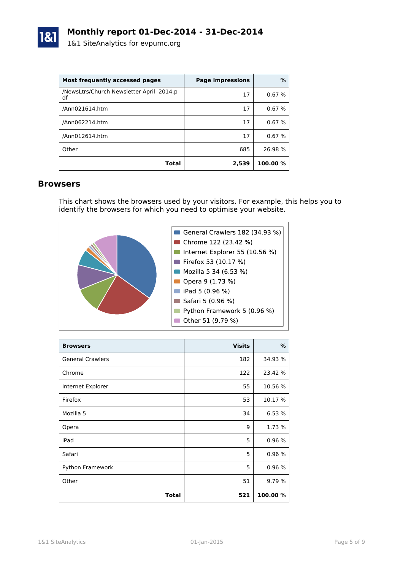

| Most frequently accessed pages                 | <b>Page impressions</b> | %        |
|------------------------------------------------|-------------------------|----------|
| /NewsLtrs/Church Newsletter April 2014.p<br>df | 17                      | 0.67%    |
| /Ann021614.htm                                 | 17                      | 0.67%    |
| /Ann062214.htm                                 | 17                      | 0.67%    |
| /Ann012614.htm                                 | 17                      | 0.67%    |
| Other                                          | 685                     | 26.98 %  |
| Total                                          | 2,539                   | 100.00 % |

#### **Browsers**

This chart shows the browsers used by your visitors. For example, this helps you to identify the browsers for which you need to optimise your website.



| <b>Browsers</b>         | <b>Visits</b> | %        |
|-------------------------|---------------|----------|
| <b>General Crawlers</b> | 182           | 34.93 %  |
| Chrome                  | 122           | 23.42 %  |
| Internet Explorer       | 55            | 10.56 %  |
| Firefox                 | 53            | 10.17 %  |
| Mozilla 5               | 34            | 6.53 %   |
| Opera                   | 9             | 1.73 %   |
| iPad                    | 5             | 0.96 %   |
| Safari                  | 5             | 0.96%    |
| Python Framework        | 5             | 0.96 %   |
| Other                   | 51            | 9.79 %   |
| <b>Total</b>            | 521           | 100.00 % |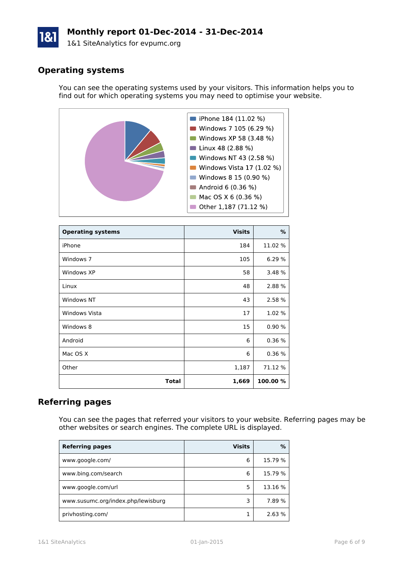# **Monthly report 01-Dec-2014 - 31-Dec-2014**

1&1 SiteAnalytics for evpumc.org

#### **Operating systems**

You can see the operating systems used by your visitors. This information helps you to find out for which operating systems you may need to optimise your website.



| <b>Operating systems</b> | <b>Visits</b> | %        |
|--------------------------|---------------|----------|
| iPhone                   | 184           | 11.02 %  |
| Windows 7                | 105           | 6.29 %   |
| Windows XP               | 58            | 3.48 %   |
| Linux                    | 48            | 2.88 %   |
| Windows NT               | 43            | 2.58 %   |
| <b>Windows Vista</b>     | 17            | 1.02 %   |
| Windows 8                | 15            | 0.90%    |
| Android                  | 6             | 0.36%    |
| Mac OS X                 | 6             | 0.36%    |
| Other                    | 1,187         | 71.12 %  |
| <b>Total</b>             | 1,669         | 100.00 % |

#### **Referring pages**

You can see the pages that referred your visitors to your website. Referring pages may be other websites or search engines. The complete URL is displayed.

| <b>Referring pages</b>             | <b>Visits</b> | %       |
|------------------------------------|---------------|---------|
| www.google.com/                    | 6             | 15.79 % |
| www.bing.com/search                | 6             | 15.79 % |
| www.google.com/url                 | 5             | 13.16 % |
| www.susumc.org/index.php/lewisburg | 3             | 7.89 %  |
| privhosting.com/                   |               | 2.63%   |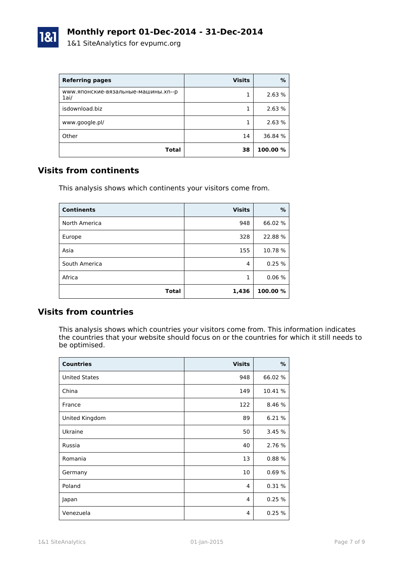

| <b>Referring pages</b>                      | <b>Visits</b> | $\%$     |
|---------------------------------------------|---------------|----------|
| www.японские-вязальные-машины.xn--р<br>1ai/ |               | 2.63 %   |
| isdownload.biz                              |               | 2.63 %   |
| www.google.pl/                              |               | 2.63 %   |
| Other                                       | 14            | 36.84 %  |
| Total                                       | 38            | 100.00 % |

#### **Visits from continents**

This analysis shows which continents your visitors come from.

| <b>Continents</b> | <b>Visits</b> | %       |
|-------------------|---------------|---------|
| North America     | 948           | 66.02 % |
| Europe            | 328           | 22.88%  |
| Asia              | 155           | 10.78 % |
| South America     | 4             | 0.25%   |
| Africa            | 1             | 0.06%   |
| <b>Total</b>      | 1,436         | 100.00% |

#### **Visits from countries**

This analysis shows which countries your visitors come from. This information indicates the countries that your website should focus on or the countries for which it still needs to be optimised.

| <b>Countries</b>     | <b>Visits</b>  | $\%$    |
|----------------------|----------------|---------|
| <b>United States</b> | 948            | 66.02 % |
| China                | 149            | 10.41 % |
| France               | 122            | 8.46 %  |
| United Kingdom       | 89             | 6.21 %  |
| Ukraine              | 50             | 3.45%   |
| Russia               | 40             | 2.76 %  |
| Romania              | 13             | 0.88%   |
| Germany              | 10             | 0.69%   |
| Poland               | 4              | 0.31%   |
| Japan                | $\overline{4}$ | 0.25%   |
| Venezuela            | 4              | 0.25%   |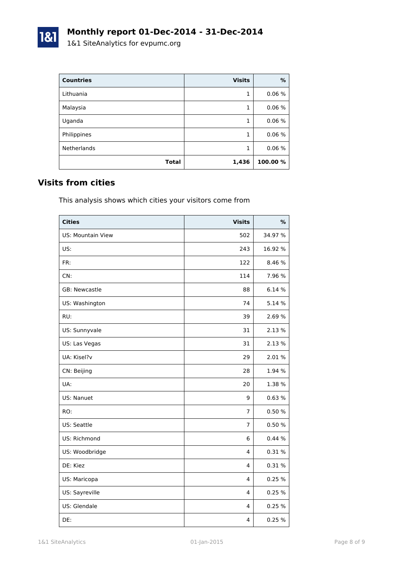| <b>Countries</b>   | <b>Visits</b> | %        |
|--------------------|---------------|----------|
| Lithuania          | 1             | 0.06%    |
| Malaysia           | 1             | 0.06%    |
| Uganda             | 1             | 0.06%    |
| Philippines        | 1             | 0.06%    |
| <b>Netherlands</b> | 1             | 0.06%    |
| <b>Total</b>       | 1,436         | 100.00 % |

### **Visits from cities**

1&1

This analysis shows which cities your visitors come from

| <b>Cities</b>     | <b>Visits</b>  | %       |
|-------------------|----------------|---------|
| US: Mountain View | 502            | 34.97 % |
| US:               | 243            | 16.92 % |
| FR:               | 122            | 8.46 %  |
| CN:               | 114            | 7.96 %  |
| GB: Newcastle     | 88             | 6.14 %  |
| US: Washington    | 74             | 5.14 %  |
| RU:               | 39             | 2.69%   |
| US: Sunnyvale     | 31             | 2.13 %  |
| US: Las Vegas     | 31             | 2.13 %  |
| UA: Kisel?v       | 29             | 2.01%   |
| CN: Beijing       | 28             | 1.94 %  |
| UA:               | 20             | 1.38 %  |
| US: Nanuet        | 9              | 0.63%   |
| RO:               | $\overline{7}$ | 0.50 %  |
| US: Seattle       | $\overline{7}$ | 0.50%   |
| US: Richmond      | 6              | 0.44%   |
| US: Woodbridge    | $\overline{4}$ | 0.31 %  |
| DE: Kiez          | 4              | 0.31%   |
| US: Maricopa      | 4              | 0.25 %  |
| US: Sayreville    | 4              | 0.25 %  |
| US: Glendale      | 4              | 0.25 %  |
| DE:               | 4              | 0.25%   |